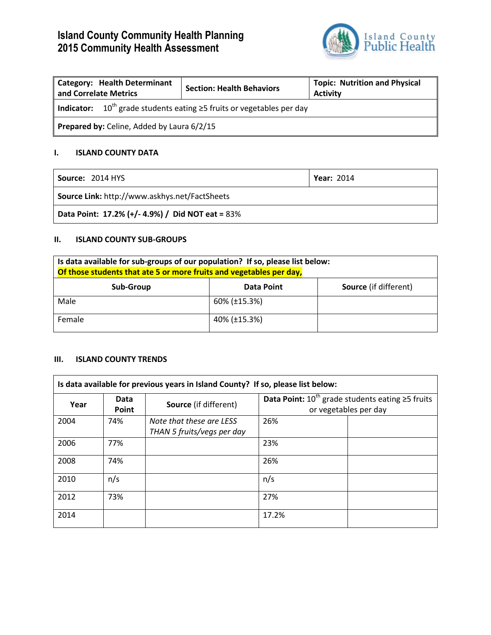# **Island County Community Health Planning 2015 Community Health Assessment**



| <b>Category: Health Determinant</b><br>and Correlate Metrics                     | <b>Section: Health Behaviors</b> | <b>Topic: Nutrition and Physical</b><br><b>Activity</b> |  |
|----------------------------------------------------------------------------------|----------------------------------|---------------------------------------------------------|--|
| Indicator: $10^{th}$ grade students eating $\geq$ 5 fruits or vegetables per day |                                  |                                                         |  |
| Prepared by: Celine, Added by Laura 6/2/15                                       |                                  |                                                         |  |

## **I. ISLAND COUNTY DATA**

| <b>Source: 2014 HYS</b>                          | <b>Year: 2014</b> |  |
|--------------------------------------------------|-------------------|--|
| Source Link: http://www.askhys.net/FactSheets    |                   |  |
| Data Point: 17.2% (+/- 4.9%) / Did NOT eat = 83% |                   |  |

## **II. ISLAND COUNTY SUB-GROUPS**

| Is data available for sub-groups of our population? If so, please list below: |              |                              |  |
|-------------------------------------------------------------------------------|--------------|------------------------------|--|
| Of those students that ate 5 or more fruits and vegetables per day,           |              |                              |  |
| Sub-Group                                                                     | Data Point   | <b>Source</b> (if different) |  |
| Male                                                                          | 60% (±15.3%) |                              |  |
| Female                                                                        | 40% (±15.3%) |                              |  |

# **III. ISLAND COUNTY TRENDS**

| Is data available for previous years in Island County? If so, please list below: |                              |                                                        |                                                             |                       |
|----------------------------------------------------------------------------------|------------------------------|--------------------------------------------------------|-------------------------------------------------------------|-----------------------|
| Data<br>Year<br>Point                                                            | <b>Source</b> (if different) |                                                        | Data Point: $10^{th}$ grade students eating $\geq$ 5 fruits |                       |
|                                                                                  |                              |                                                        |                                                             | or vegetables per day |
| 2004                                                                             | 74%                          | Note that these are LESS<br>THAN 5 fruits/vegs per day | 26%                                                         |                       |
| 2006                                                                             | 77%                          |                                                        | 23%                                                         |                       |
| 2008                                                                             | 74%                          |                                                        | 26%                                                         |                       |
| 2010                                                                             | n/s                          |                                                        | n/s                                                         |                       |
| 2012                                                                             | 73%                          |                                                        | 27%                                                         |                       |
| 2014                                                                             |                              |                                                        | 17.2%                                                       |                       |